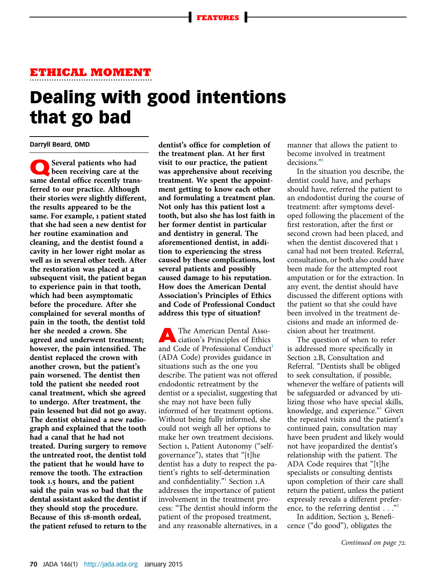# FEATURES

#### ETHICAL MOMENT

# Dealing with good intentions that go bad

## Darryll Beard, DMD

QSeveral patients who had been receiving care at the same dental office recently transferred to our practice. Although their stories were slightly different, the results appeared to be the same. For example, 1 patient stated that she had seen a new dentist for her routine examination and cleaning, and the dentist found a cavity in her lower right molar as well as in several other teeth. After the restoration was placed at a subsequent visit, the patient began to experience pain in that tooth, which had been asymptomatic before the procedure. After she complained for several months of pain in the tooth, the dentist told her she needed a crown. She agreed and underwent treatment; however, the pain intensified. The dentist replaced the crown with another crown, but the patient's pain worsened. The dentist then told the patient she needed root canal treatment, which she agreed to undergo. After treatment, the pain lessened but did not go away. The dentist obtained a new radiograph and explained that the tooth had a canal that he had not treated. During surgery to remove the untreated root, the dentist told the patient that he would have to remove the tooth. The extraction took 1.5 hours, and the patient said the pain was so bad that the dental assistant asked the dentist if they should stop the procedure. Because of this 18-month ordeal, the patient refused to return to the

dentist's office for completion of the treatment plan. At her first visit to our practice, the patient was apprehensive about receiving treatment. We spent the appointment getting to know each other and formulating a treatment plan. Not only has this patient lost a tooth, but also she has lost faith in her former dentist in particular and dentistry in general. The aforementioned dentist, in addition to experiencing the stress caused by these complications, lost several patients and possibly caused damage to his reputation. How does the American Dental Association's Principles of Ethics and Code of Professional Conduct address this type of situation?

The American Dental Association's Principles of Ethics and Code of Professional Conduct<sup>1</sup> (ADA Code) provides guidance in situations such as the one you describe. The patient was not offered endodontic retreatment by the dentist or a specialist, suggesting that she may not have been fully informed of her treatment options. Without being fully informed, she could not weigh all her options to make her own treatment decisions. Section 1, Patient Autonomy ("selfgovernance"), states that "[t]he dentist has a duty to respect the patient's rights to self-determination and confidentiality."<sup>1</sup> Section 1.A addresses the importance of patient involvement in the treatment process: "The dentist should inform the patient of the proposed treatment, and any reasonable alternatives, in a

manner that allows the patient to become involved in treatment decisions." 1

In the situation you describe, the dentist could have, and perhaps should have, referred the patient to an endodontist during the course of treatment: after symptoms developed following the placement of the first restoration, after the first or second crown had been placed, and when the dentist discovered that 1 canal had not been treated. Referral, consultation, or both also could have been made for the attempted root amputation or for the extraction. In any event, the dentist should have discussed the different options with the patient so that she could have been involved in the treatment decisions and made an informed decision about her treatment.

The question of when to refer is addressed more specifically in Section 2.B, Consultation and Referral. "Dentists shall be obliged to seek consultation, if possible, whenever the welfare of patients will be safeguarded or advanced by utilizing those who have special skills, knowledge, and experience."<sup>1</sup> Given the repeated visits and the patient's continued pain, consultation may have been prudent and likely would not have jeopardized the dentist's relationship with the patient. The ADA Code requires that "[t]he specialists or consulting dentists upon completion of their care shall return the patient, unless the patient expressly reveals a different preference, to the referring dentist  $\ldots$ ."

In addition, Section 3, Beneficence ("do good"), obligates the